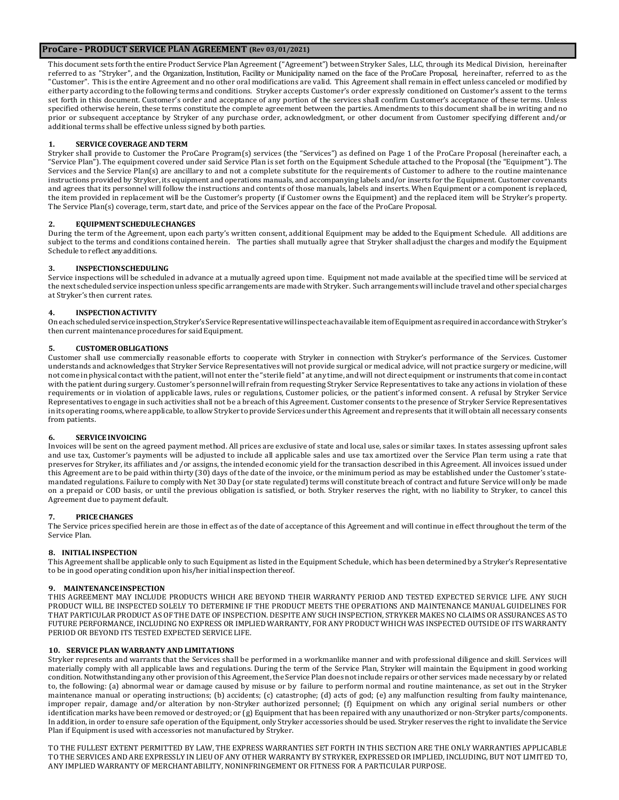# **ProCare - PRODUCT SERVICE PLAN AGREEMENT (Rev 03/01/2021)**

This document sets forth the entire Product Service PlanAgreement("Agreement") between Stryker Sales, LLC, through its Medical Division, hereinafter referred to as "Stryker", and the Organization, Institution, Facility or Municipality named on the face of the ProCare Proposal, hereinafter, referred to as the "Customer". This is the entire Agreement and no other oral modifications are valid. This Agreement shall remain in effect unless canceled or modified by either party according to the following terms and conditions. Stryker accepts Customer's order expressly conditioned on Customer's assent to the terms set forth in this document. Customer's order and acceptance of any portion of the services shall confirm Customer's acceptance of these terms. Unless specified otherwise herein, these terms constitute the complete agreement between the parties. Amendments to this document shall be in writing and no prior or subsequent acceptance by Stryker of any purchase order, acknowledgment, or other document from Customer specifying different and/or additional terms shall be effective unless signed by both parties.

# **1. SERVICE COVERAGEAND TERM**

Stryker shall provide to Customer the ProCare Program(s) services (the "Services") as defined on Page 1 of the ProCare Proposal (hereinafter each, a "Service Plan"). The equipment covered under said Service Plan is set forth on the Equipment Schedule attached to the Proposal (the "Equipment"). The Services and the Service Plan(s) are ancillary to and not a complete substitute for the requirements of Customer to adhere to the routine maintenance instructions provided by Stryker, its equipment and operations manuals, and accompanying labels and/or inserts for the Equipment. Customer covenants and agrees that its personnel will follow the instructions and contents of those manuals, labels and inserts. When Equipment or a component is replaced, the item provided in replacement will be the Customer's property (if Customer owns the Equipment) and the replaced item will be Stryker's property. The Service Plan(s) coverage, term, start date, and price of the Services appear on the face of the ProCare Proposal.

#### **2. EQUIPMENTSCHEDULECHANGES**

During the term of the Agreement, upon each party's written consent, additional Equipment may be added to the Equipment Schedule. All additions are subject to the terms and conditions contained herein. The parties shall mutually agree that Stryker shall adjust the charges and modify the Equipment Schedule toreflect anyadditions.

#### **3. INSPECTIONSCHEDULING**

Service inspections will be scheduled in advance at a mutually agreed upon time. Equipment not made available at the specified time will be serviced at the next scheduled service inspection unless specific arrangements are made with Stryker. Such arrangements will include travel and other special charges at Stryker's then current rates.

#### **4. INSPECTIONACTIVITY**

Oneachscheduledservice inspection,Stryker'sServiceRepresentativewillinspecteachavailable itemofEquipmentasrequiredinaccordancewithStryker's then current maintenance procedures for said Equipment.

### **5. CUSTOMEROBLIGATIONS**

Customer shall use commercially reasonable efforts to cooperate with Stryker in connection with Stryker's performance of the Services. Customer understands and acknowledges that Stryker Service Representatives will not provide surgical or medical advice, will not practice surgery or medicine, will not come in physical contact with the patient, will not enter the "sterile field" at any time, and will not direct equipment or instruments that come in contact with the patient during surgery. Customer's personnel will refrain from requesting Stryker Service Representatives to take any actions in violation of these requirements or in violation of applicable laws, rules or regulations, Customer policies, or the patient's informed consent. A refusal by Stryker Service Representatives to engage in such activities shall not be a breach of this Agreement. Customer consents to the presence of Stryker Service Representatives in its operating rooms, where applicable, to allowStryker to provide Services under this Agreement and represents that it will obtain all necessary consents from patients.

### **6. SERVICEINVOICING**

Invoices will be sent on the agreed payment method. All prices are exclusive of state and local use, sales or similar taxes. In states assessing upfront sales and use tax, Customer's payments will be adjusted to include all applicable sales and use tax amortized over the Service Plan term using a rate that preserves for Stryker, its affiliates and /or assigns, the intended economic yield for the transaction described in this Agreement. All invoices issued under this Agreement are to be paid within thirty (30) days of the date of the invoice, or the minimum period as may be established under the Customer's statemandated regulations. Failure to comply with Net 30 Day (or state regulated) terms will constitute breach of contract and future Service will only be made on a prepaid or COD basis, or until the previous obligation is satisfied, or both. Stryker reserves the right, with no liability to Stryker, to cancel this Agreement due to payment default.

#### **7. PRICECHANGES**

The Service prices specified herein are those in effect as of the date of acceptance of this Agreement and will continue in effect throughout the term of the Service Plan.

#### **8. INITIAL INSPECTION**

This Agreement shall be applicable only to such Equipment as listed in the Equipment Schedule, which has been determined by a Stryker's Representative to be in good operating condition upon his/her initial inspection thereof.

#### **9. MAINTENANCEINSPECTION**

THIS AGREEMENT MAY INCLUDE PRODUCTS WHICH ARE BEYOND THEIR WARRANTY PERIOD AND TESTED EXPECTED SERVICE LIFE. ANY SUCH PRODUCT WILL BE INSPECTED SOLELY TO DETERMINE IF THE PRODUCT MEETS THE OPERATIONS AND MAINTENANCE MANUAL GUIDELINES FOR THAT PARTICULAR PRODUCT AS OF THE DATE OF INSPECTION. DESPITE ANY SUCH INSPECTION, STRYKER MAKES NO CLAIMS OR ASSURANCES AS TO FUTURE PERFORMANCE, INCLUDING NO EXPRESS OR IMPLIED WARRANTY, FOR ANY PRODUCT WHICH WAS INSPECTED OUTSIDE OF ITS WARRANTY PERIOD OR BEYOND ITS TESTED EXPECTED SERVICE LIFE.

# **10. SERVICE PLAN WARRANTY AND LIMITATIONS**

Stryker represents and warrants that the Services shall be performed in a workmanlike manner and with professional diligence and skill. Services will materially comply with all applicable laws and regulations. During the term of the Service Plan, Stryker will maintain the Equipment in good working condition. Notwithstanding any other provision of this Agreement, the Service Plan does not include repairs or other services made necessary by or related to, the following: (a) abnormal wear or damage caused by misuse or by failure to perform normal and routine maintenance, as set out in the Stryker maintenance manual or operating instructions; (b) accidents; (c) catastrophe; (d) acts of god; (e) any malfunction resulting from faulty maintenance, improper repair, damage and/or alteration by non-Stryker authorized personnel; (f) Equipment on which any original serial numbers or other identification marks have been removed or destroyed; or (g) Equipment that has been repaired with any unauthorized or non-Stryker parts/components. In addition, in order to ensure safe operation of the Equipment, only Stryker accessories should be used. Stryker reserves the right to invalidate the Service Plan if Equipment is used with accessories not manufactured by Stryker.

TO THE FULLEST EXTENT PERMITTED BY LAW, THE EXPRESS WARRANTIES SET FORTH IN THIS SECTION ARE THE ONLY WARRANTIES APPLICABLE TO THE SERVICES AND ARE EXPRESSLY IN LIEU OF ANY OTHER WARRANTY BY STRYKER, EXPRESSED OR IMPLIED, INCLUDING, BUT NOT LIMITED TO, ANY IMPLIED WARRANTY OF MERCHANTABILITY, NONINFRINGEMENT OR FITNESS FOR A PARTICULAR PURPOSE.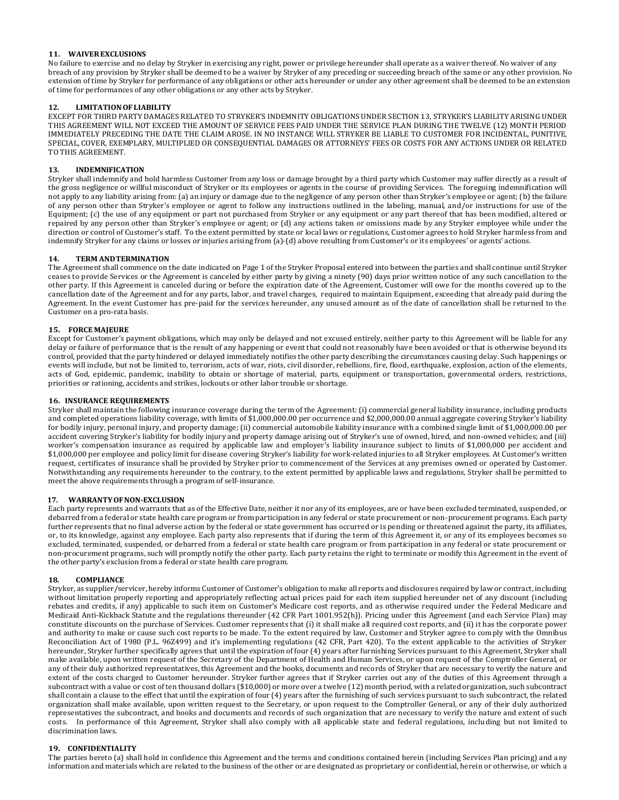# **11. WAIVEREXCLUSIONS**

No failure to exercise and no delay by Stryker in exercising any right, power or privilege hereunder shall operate as a waiver thereof. No waiver of any breach of any provision by Stryker shall be deemed to be a waiver by Stryker of any preceding or succeeding breach of the same or any other provision. No extension of time by Stryker for performance of any obligations or other acts hereunder or under any other agreement shall be deemed to be an extension of time for performances of any other obligations or any other acts by Stryker.

### **12. LIMITATIONOFLIABILITY**

EXCEPT FOR THIRD PARTY DAMAGES RELATED TO STRYKER'S INDEMNITY OBLIGATIONS UNDER SECTION 13, STRYKER'S LIABILITY ARISING UNDER THIS AGREEMENT WILL NOT EXCEED THE AMOUNT OF SERVICE FEES PAID UNDER THE SERVICE PLAN DURING THE TWELVE (12) MONTH PERIOD IMMEDIATELY PRECEDING THE DATE THE CLAIM AROSE. IN NO INSTANCE WILL STRYKER BE LIABLE TO CUSTOMER FOR INCIDENTAL, PUNITIVE, SPECIAL, COVER, EXEMPLARY, MULTIPLIED OR CONSEQUENTIAL DAMAGES OR ATTORNEYS' FEES OR COSTS FOR ANY ACTIONS UNDER OR RELATED TO THIS AGREEMENT.

# **13. INDEMNIFICATION**

Stryker shall indemnify and hold harmless Customer from any loss or damage brought by a third party which Customer may suffer directly as a result of the gross negligence or willful misconduct of Stryker or its employees or agents in the course of providing Services. The foregoing indemnification will not apply to any liability arising from: (a) an injury or damage due to the negligence of any person other than Stryker's employee or agent; (b) the failure of any person other than Stryker's employee or agent to follow any instructions outlined in the labeling, manual, and/or instructions for use of the Equipment; (c) the use of any equipment or part not purchased from Stryker or any equipment or any part thereof that has been modified, altered or repaired by any person other than Stryker's employee or agent; or (d) any actions taken or omissions made by any Stryker employee while under the direction or control of Customer's staff. To the extent permitted by state or local laws or regulations, Customer agrees to hold Stryker harmless from and indemnify Stryker for any claims or losses or injuries arising from (a)-(d) above resulting from Customer's or its employees' or agents' actions.

# **14. TERM ANDTERMINATION**

The Agreement shall commence on the date indicated on Page 1 of the Stryker Proposal entered into between the parties and shall continue until Stryker ceases to provide Services or the Agreement is canceled by either party by giving a ninety (90) days prior written notice of any such cancellation to the other party. If this Agreement is canceled during or before the expiration date of the Agreement, Customer will owe for the months covered up to the cancellation date of the Agreement and for any parts, labor, and travel charges, required to maintain Equipment, exceeding that already paid during the Agreement. In the event Customer has pre-paid for the services hereunder, any unused amount as of the date of cancellation shall be returned to the Customer on a pro-rata basis.

# **15. FORCE MAJEURE**

Except for Customer's payment obligations, which may only be delayed and not excused entirely, neither party to this Agreement will be liable for any delay or failure of performance that is the result of any happening or event that could not reasonably have been avoided or that is otherwise beyond its control, provided that the party hindered or delayed immediately notifies the other party describing the circumstances causing delay. Such happenings or events will include, but not be limited to, terrorism, acts of war, riots, civil disorder, rebellions, fire, flood, earthquake, explosion, action of the elements, acts of God, epidemic, pandemic, inability to obtain or shortage of material, parts, equipment or transportation, governmental orders, restrictions, priorities or rationing, accidents and strikes, lockouts or other labor trouble or shortage.

# **16. INSURANCE REQUIREMENTS**

Stryker shall maintain the following insurance coverage during the term of the Agreement: (i) commercial general liability insurance, including products and completed operations liability coverage, with limits of \$1,000,000.00 per occurrence and \$2,000,000.00 annual aggregate covering Stryker's liability for bodily injury, personal injury, and property damage; (ii) commercial automobile liability insurance with a combined single limit of \$1,000,000.00 per accident covering Stryker's liability for bodily injury and property damage arising out of Stryker's use of owned, hired, and non-owned vehicles; and (iii) worker's compensation insurance as required by applicable law and employer's liability insurance subject to limits of \$1,000,000 per accident and \$1,000,000 per employee and policy limit for disease covering Stryker's liability for work-related injuries to all Stryker employees. At Customer's written request, certificates of insurance shall be provided by Stryker prior to commencement of the Services at any premises owned or operated by Customer. Notwithstanding any requirements hereunder to the contrary, to the extent permitted by applicable laws and regulations, Stryker shall be permitted to meet the above requirements through a program of self-insurance.

### **17. WARRANTYOFNON-EXCLUSION**

Each party represents and warrants that as of the Effective Date, neither it nor any of its employees, are or have been excluded terminated, suspended, or debarred from a federal or state health care program or from participation in any federal or state procurement or non-procurement programs. Each party further represents that no final adverse action by the federal or state government has occurred or is pending or threatened against the party, its affiliates, or, to its knowledge, against any employee. Each party also represents that if during the term of this Agreement it, or any of its employees becomes so excluded, terminated, suspended, or debarred from a federal or state health care program or from participation in any federal or state procurement or non-procurement programs, such will promptly notify the other party. Each party retains the right to terminate or modify this Agreement in the event of the other party's exclusion from a federal or state health care program.

### **18. COMPLIANCE**

Stryker, as supplier/servicer, hereby informs Customer of Customer's obligation to make all reports and disclosures required by law or contract, including without limitation properly reporting and appropriately reflecting actual prices paid for each item supplied hereunder net of any discount (including rebates and credits, if any) applicable to such item on Customer's Medicare cost reports, and as otherwise required under the Federal Medicare and Medicaid Anti-Kickback Statute and the regulations thereunder (42 CFR Part 1001.952(h)). Pricing under this Agreement (and each Service Plan) may constitute discounts on the purchase of Services. Customer represents that (i) it shall make all required cost reports, and (ii) it has the corporate power and authority to make or cause such cost reports to be made. To the extent required by law, Customer and Stryker agree to comply with the Omnibus Reconciliation Act of 1980 (P.L. 96Z499) and it's implementing regulations (42 CFR, Part 420). To the extent applicable to the activities of Stryker hereunder, Stryker further specifically agrees that until the expiration of four (4) years after furnishing Services pursuant to this Agreement, Stryker shall make available, upon written request of the Secretary of the Department of Health and Human Services, or upon request of the Comptroller General, or any of their duly authorized representatives, this Agreement and the books, documents and records of Stryker that are necessary to verify the nature and extent of the costs charged to Customer hereunder. Stryker further agrees that if Stryker carries out any of the duties of this Agreement through a subcontract with a value or cost of ten thousand dollars (\$10,000) or more over a twelve (12) month period, with a related organization, such subcontract shall contain a clause to the effect that until the expiration of four (4) years after the furnishing of such services pursuant to such subcontract, the related organization shall make available, upon written request to the Secretary, or upon request to the Comptroller General, or any of their duly authorized representatives the subcontract, and books and documents and records of such organization that are necessary to verify the nature and extent of such costs. In performance of this Agreement, Stryker shall also comply with all applicable state and federal regulations, including but not limited to discrimination laws.

# **19. CONFIDENTIALITY**

The parties hereto (a) shall hold in confidence this Agreement and the terms and conditions contained herein (including Services Plan pricing) and any information and materials which are related to the business of the other or are designated as proprietary or confidential, herein or otherwise, or which a